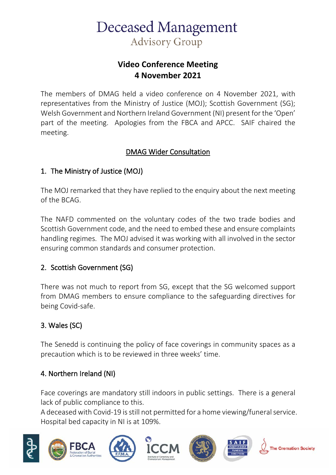# **Deceased Management Advisory Group**

## **Video Conference Meeting 4 November 2021**

The members of DMAG held a video conference on 4 November 2021, with representatives from the Ministry of Justice (MOJ); Scottish Government (SG); Welsh Government and Northern Ireland Government (NI) present for the 'Open' part of the meeting. Apologies from the FBCA and APCC. SAIF chaired the meeting.

## DMAG Wider Consultation

## 1. The Ministry of Justice (MOJ)

The MOJ remarked that they have replied to the enquiry about the next meeting of the BCAG.

The NAFD commented on the voluntary codes of the two trade bodies and Scottish Government code, and the need to embed these and ensure complaints handling regimes. The MOJ advised it was working with all involved in the sector ensuring common standards and consumer protection.

#### 2. Scottish Government (SG)

There was not much to report from SG, except that the SG welcomed support from DMAG members to ensure compliance to the safeguarding directives for being Covid-safe.

## 3. Wales (SC)

The Senedd is continuing the policy of face coverings in community spaces as a precaution which is to be reviewed in three weeks' time.

#### 4. Northern Ireland (NI)

Face coverings are mandatory still indoors in public settings. There is a general lack of public compliance to this.

A deceased with Covid-19 is still not permitted for a home viewing/funeral service. Hospital bed capacity in NI is at 109%.